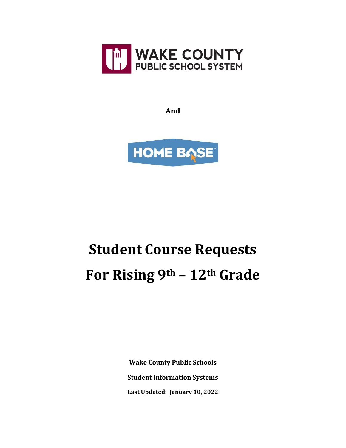

**And**



## **Student Course Requests For Rising 9th – 12th Grade**

**Wake County Public Schools Student Information Systems Last Updated: January 10, 2022**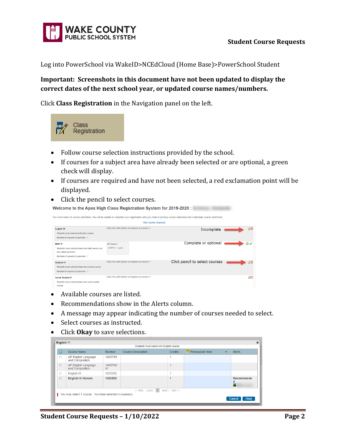

Log into PowerSchool via WakeID>NCEdCloud (Home Base)>PowerSchool Student

## **Important: Screenshots in this document have not been updated to display the correct dates of the next school year, or updated course names/numbers.**

Click **Class Registration** in the Navigation panel on the left.



- Follow course selection instructions provided by the school.
- If courses for a subject area have already been selected or are optional, a green check will display.
- If courses are required and have not been selected, a red exclamation point will be displayed.
- Click the pencil to select courses.

| Welcome to the Apex High Class Registration System for 2019-2020 :                                                           |                                                         |                      |                                                                                                                                                                    |               |
|------------------------------------------------------------------------------------------------------------------------------|---------------------------------------------------------|----------------------|--------------------------------------------------------------------------------------------------------------------------------------------------------------------|---------------|
|                                                                                                                              |                                                         | View course requests | You must make 12 course selections. You will be unable to complete your registration until you make 8 primary course selections and 4 alternate course selections. |               |
| English 11<br>Students must select one English course.<br>Number of requests to generate : 1                                 | Click the edit button to request a course $\Rightarrow$ |                      | Incomplete                                                                                                                                                         | $\mathcal{P}$ |
| Math 11<br>Students must select at least one math course, but<br>may select up to two.<br>Number of requests to generate : 1 | <b>AP Statistics</b><br>2A037X0 - 1 credits             |                      | Complete or optional                                                                                                                                               |               |
| Science 11<br>Students must select at least one science course.<br>Number of requests to generate : 1                        | Click the edit button to request a course $\Rightarrow$ |                      | Click pencil to select courses                                                                                                                                     | $\mathcal{P}$ |
| Social Studies 11<br>Students must select at least one social studies<br>course.                                             | Click the edit button to request a course $\Rightarrow$ |                      |                                                                                                                                                                    | ↗             |

- Available courses are listed.
- Recommendations show in the Alerts column.
- A message may appear indicating the number of courses needed to select.
- Select courses as instructed.
- Click **Okay** to save selections.

| ☑                                         | Course Name                            | Number       | <b>Course Description</b> | Credits | Prerequisite Note | $\blacktriangle$ | Alerts               |
|-------------------------------------------|----------------------------------------|--------------|---------------------------|---------|-------------------|------------------|----------------------|
| 0                                         | AP English Language<br>and Composition | 1A007X0      |                           | 1       |                   |                  |                      |
| $\Box$                                    | AP English Language<br>and Composition | 1A007X0<br>W |                           |         |                   |                  |                      |
| $\Box$                                    | English III                            | 10232X0      |                           | и       |                   |                  |                      |
| $\Box$                                    | English III Honors                     | 10235X0      |                           |         |                   |                  | Recommende<br>a<br>Ä |
| $<<$ first $<$ prev 1<br>$next$ - last >> |                                        |              |                           |         |                   |                  |                      |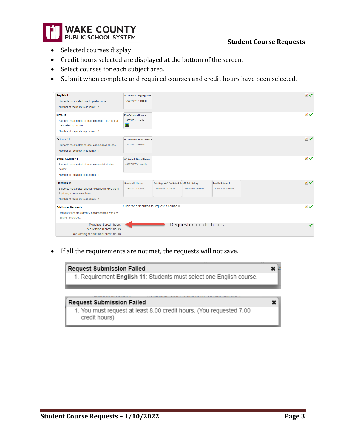

## **Student Course Requests**

- Selected courses display.
- Credit hours selected are displayed at the bottom of the screen.
- Select courses for each subject area.
- Submit when complete and required courses and credit hours have been selected.

| English 11<br>Students must select one English course.<br>Number of requests to generate : 1                                                    | AP English Language and<br>1A007X0W - 1 credits         |                                                                    |                        |                                                | $\mathbb{Z}$  |
|-------------------------------------------------------------------------------------------------------------------------------------------------|---------------------------------------------------------|--------------------------------------------------------------------|------------------------|------------------------------------------------|---------------|
| Math 11<br>Students must select at least one math course, but<br>may select up to two.<br>Number of requests to generate : 1                    | <b>Pre-Calculus Honors</b><br>24035X0 - 1 credits<br>7N |                                                                    |                        |                                                | $\mathscr{D}$ |
| Science 11<br>Students must select at least one science course.<br>Number of requests to generate : 1                                           | <b>AP Environmental Science</b><br>3A027X0 - 1 credits  |                                                                    |                        |                                                | $\mathbb{Z}$  |
| <b>Social Studies 11</b><br>Students must select at least one social studies<br>course.<br>Number of requests to generate : 1                   | <b>AP United States History</b><br>4A077X0W - 1 credits |                                                                    |                        |                                                | $\mathcal{P}$ |
| <b>Flectives 11</b><br>Students must select enough electives to give them<br>8 primary course selections.<br>Number of requests to generate : 1 | <b>Spanish III Honors</b><br>11435X0 - 1 credits        | Painting: VAS Proficient Ho AP Art History<br>54635X0A - 1 credits | 5A007X0 - 1 credits    | <b>Health Science I</b><br>HU402X0 - 1 credits | $\mathcal{V}$ |
| <b>Additional Requests</b><br>Requests that are currently not associated with any<br>requirement group.                                         | Click the edit button to request a course $\Rightarrow$ |                                                                    |                        |                                                | $\mathcal{V}$ |
| Requires 8 credit hours.<br>Requesting 8 credit hours.<br>Requesting 0 additional credit hours.                                                 |                                                         |                                                                    | Requested credit hours |                                                | $\checkmark$  |

• If all the requirements are not met, the requests will not save.